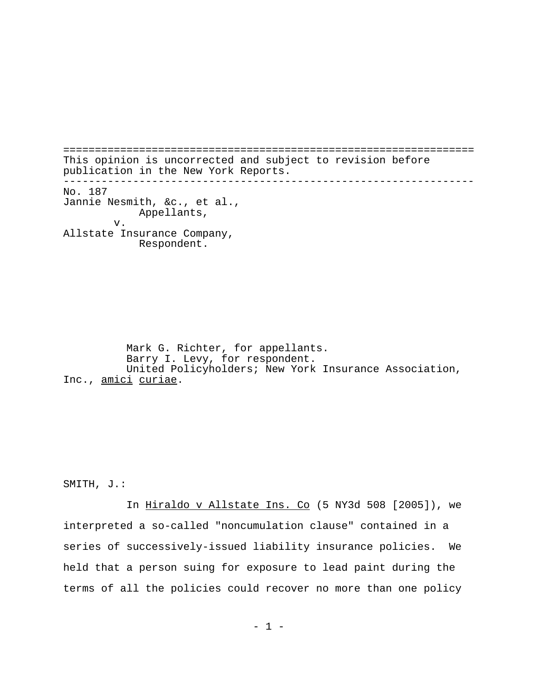================================================================= This opinion is uncorrected and subject to revision before publication in the New York Reports. ----------------------------------------------------------------- No. 187 Jannie Nesmith, &c., et al., Appellants, v. Allstate Insurance Company, Respondent.

Mark G. Richter, for appellants. Barry I. Levy, for respondent. United Policyholders; New York Insurance Association, Inc., amici curiae.

SMITH, J.:

In Hiraldo v Allstate Ins. Co (5 NY3d 508 [2005]), we interpreted a so-called "noncumulation clause" contained in a series of successively-issued liability insurance policies. We held that a person suing for exposure to lead paint during the terms of all the policies could recover no more than one policy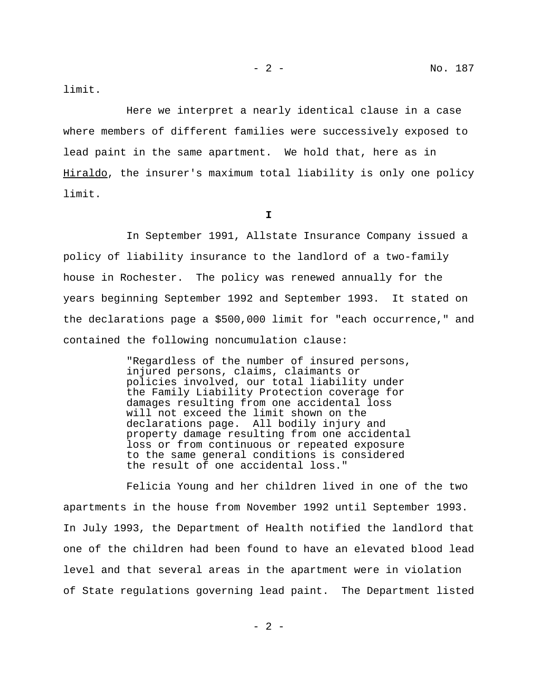limit.

Here we interpret a nearly identical clause in a case where members of different families were successively exposed to lead paint in the same apartment. We hold that, here as in Hiraldo, the insurer's maximum total liability is only one policy limit.

**I**

In September 1991, Allstate Insurance Company issued a policy of liability insurance to the landlord of a two-family house in Rochester. The policy was renewed annually for the years beginning September 1992 and September 1993. It stated on the declarations page a \$500,000 limit for "each occurrence," and contained the following noncumulation clause:

> "Regardless of the number of insured persons, injured persons, claims, claimants or policies involved, our total liability under the Family Liability Protection coverage for damages resulting from one accidental loss will not exceed the limit shown on the declarations page. All bodily injury and property damage resulting from one accidental loss or from continuous or repeated exposure to the same general conditions is considered the result of one accidental loss."

 Felicia Young and her children lived in one of the two apartments in the house from November 1992 until September 1993. In July 1993, the Department of Health notified the landlord that one of the children had been found to have an elevated blood lead level and that several areas in the apartment were in violation of State regulations governing lead paint. The Department listed

 $- 2 -$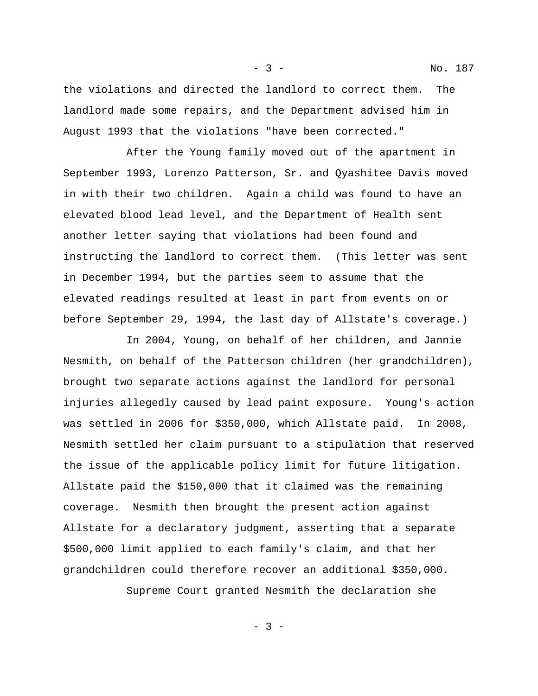the violations and directed the landlord to correct them. The landlord made some repairs, and the Department advised him in August 1993 that the violations "have been corrected."

- 3 - No. 187

After the Young family moved out of the apartment in September 1993, Lorenzo Patterson, Sr. and Qyashitee Davis moved in with their two children. Again a child was found to have an elevated blood lead level, and the Department of Health sent another letter saying that violations had been found and instructing the landlord to correct them. (This letter was sent in December 1994, but the parties seem to assume that the elevated readings resulted at least in part from events on or before September 29, 1994, the last day of Allstate's coverage.)

In 2004, Young, on behalf of her children, and Jannie Nesmith, on behalf of the Patterson children (her grandchildren), brought two separate actions against the landlord for personal injuries allegedly caused by lead paint exposure. Young's action was settled in 2006 for \$350,000, which Allstate paid. In 2008, Nesmith settled her claim pursuant to a stipulation that reserved the issue of the applicable policy limit for future litigation. Allstate paid the \$150,000 that it claimed was the remaining coverage. Nesmith then brought the present action against Allstate for a declaratory judgment, asserting that a separate \$500,000 limit applied to each family's claim, and that her grandchildren could therefore recover an additional \$350,000.

Supreme Court granted Nesmith the declaration she

- 3 -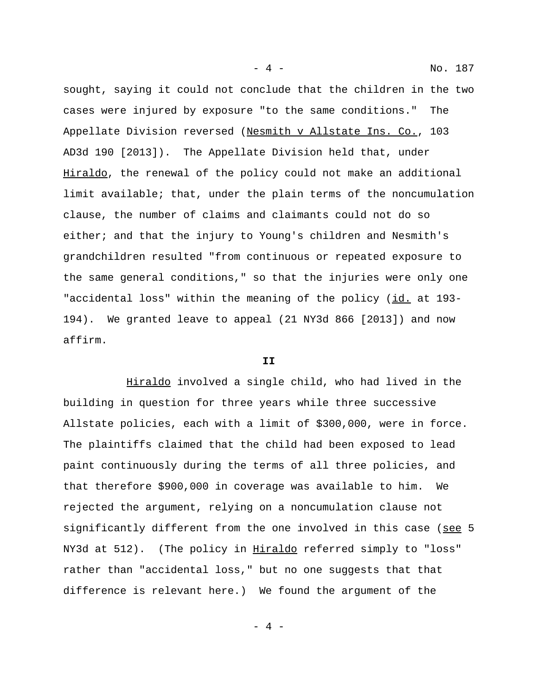sought, saying it could not conclude that the children in the two cases were injured by exposure "to the same conditions." The Appellate Division reversed (Nesmith v Allstate Ins. Co., 103 AD3d 190 [2013]). The Appellate Division held that, under Hiraldo, the renewal of the policy could not make an additional limit available; that, under the plain terms of the noncumulation clause, the number of claims and claimants could not do so either; and that the injury to Young's children and Nesmith's grandchildren resulted "from continuous or repeated exposure to the same general conditions," so that the injuries were only one "accidental loss" within the meaning of the policy (id. at 193- 194). We granted leave to appeal (21 NY3d 866 [2013]) and now affirm.

## **II**

Hiraldo involved a single child, who had lived in the building in question for three years while three successive Allstate policies, each with a limit of \$300,000, were in force. The plaintiffs claimed that the child had been exposed to lead paint continuously during the terms of all three policies, and that therefore \$900,000 in coverage was available to him. We rejected the argument, relying on a noncumulation clause not significantly different from the one involved in this case (see 5 NY3d at 512). (The policy in Hiraldo referred simply to "loss" rather than "accidental loss," but no one suggests that that difference is relevant here.) We found the argument of the

- 4 - No. 187

 $-4 -$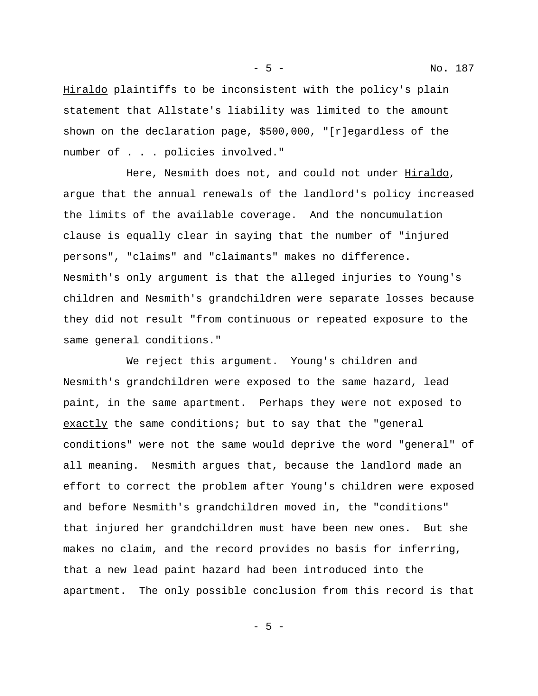- 5 - No. 187

Hiraldo plaintiffs to be inconsistent with the policy's plain statement that Allstate's liability was limited to the amount shown on the declaration page, \$500,000, "[r]egardless of the number of . . . policies involved."

Here, Nesmith does not, and could not under Hiraldo, argue that the annual renewals of the landlord's policy increased the limits of the available coverage. And the noncumulation clause is equally clear in saying that the number of "injured persons", "claims" and "claimants" makes no difference. Nesmith's only argument is that the alleged injuries to Young's children and Nesmith's grandchildren were separate losses because they did not result "from continuous or repeated exposure to the same general conditions."

We reject this argument. Young's children and Nesmith's grandchildren were exposed to the same hazard, lead paint, in the same apartment. Perhaps they were not exposed to exactly the same conditions; but to say that the "general conditions" were not the same would deprive the word "general" of all meaning. Nesmith argues that, because the landlord made an effort to correct the problem after Young's children were exposed and before Nesmith's grandchildren moved in, the "conditions" that injured her grandchildren must have been new ones. But she makes no claim, and the record provides no basis for inferring, that a new lead paint hazard had been introduced into the apartment. The only possible conclusion from this record is that

- 5 -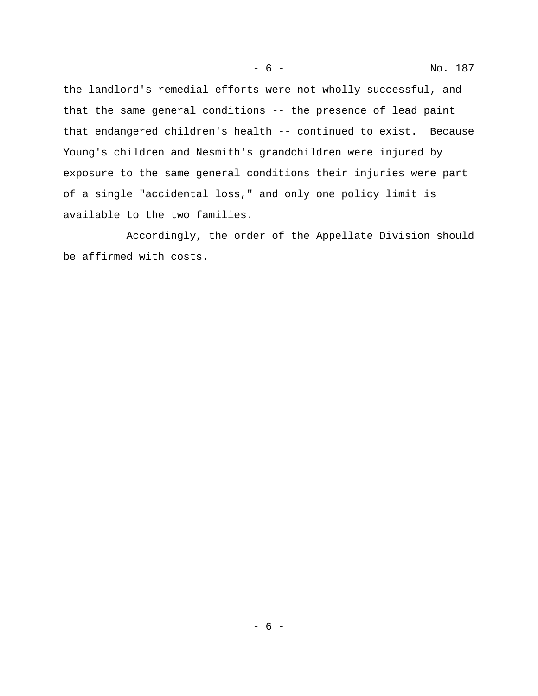the landlord's remedial efforts were not wholly successful, and that the same general conditions -- the presence of lead paint that endangered children's health -- continued to exist. Because Young's children and Nesmith's grandchildren were injured by exposure to the same general conditions their injuries were part of a single "accidental loss," and only one policy limit is available to the two families.

Accordingly, the order of the Appellate Division should be affirmed with costs.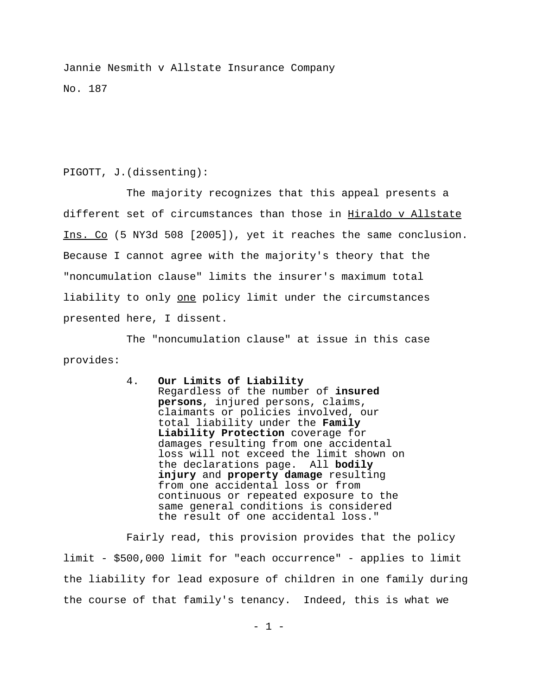Jannie Nesmith v Allstate Insurance Company No. 187

## PIGOTT, J.(dissenting):

The majority recognizes that this appeal presents a different set of circumstances than those in Hiraldo v Allstate Ins. Co (5 NY3d 508 [2005]), yet it reaches the same conclusion. Because I cannot agree with the majority's theory that the "noncumulation clause" limits the insurer's maximum total liability to only one policy limit under the circumstances presented here, I dissent.

The "noncumulation clause" at issue in this case provides:

> 4. **Our Limits of Liability** Regardless of the number of **insured persons**, injured persons, claims, claimants or policies involved, our total liability under the **Family Liability Protection** coverage for damages resulting from one accidental loss will not exceed the limit shown on the declarations page. All **bodily injury** and **property damage** resulting from one accidental loss or from continuous or repeated exposure to the same general conditions is considered the result of one accidental loss."

Fairly read, this provision provides that the policy limit - \$500,000 limit for "each occurrence" - applies to limit the liability for lead exposure of children in one family during the course of that family's tenancy. Indeed, this is what we

 $-1 -$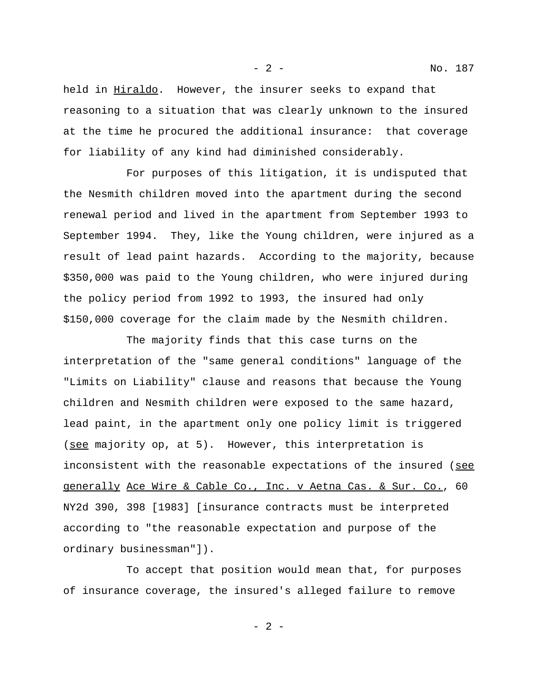- 2 - No. 187

held in Hiraldo. However, the insurer seeks to expand that reasoning to a situation that was clearly unknown to the insured at the time he procured the additional insurance: that coverage for liability of any kind had diminished considerably.

For purposes of this litigation, it is undisputed that the Nesmith children moved into the apartment during the second renewal period and lived in the apartment from September 1993 to September 1994. They, like the Young children, were injured as a result of lead paint hazards. According to the majority, because \$350,000 was paid to the Young children, who were injured during the policy period from 1992 to 1993, the insured had only \$150,000 coverage for the claim made by the Nesmith children.

The majority finds that this case turns on the interpretation of the "same general conditions" language of the "Limits on Liability" clause and reasons that because the Young children and Nesmith children were exposed to the same hazard, lead paint, in the apartment only one policy limit is triggered (see majority op, at 5). However, this interpretation is inconsistent with the reasonable expectations of the insured (see generally Ace Wire & Cable Co., Inc. v Aetna Cas. & Sur. Co., 60 NY2d 390, 398 [1983] [insurance contracts must be interpreted according to "the reasonable expectation and purpose of the ordinary businessman"]).

To accept that position would mean that, for purposes of insurance coverage, the insured's alleged failure to remove

- 2 -